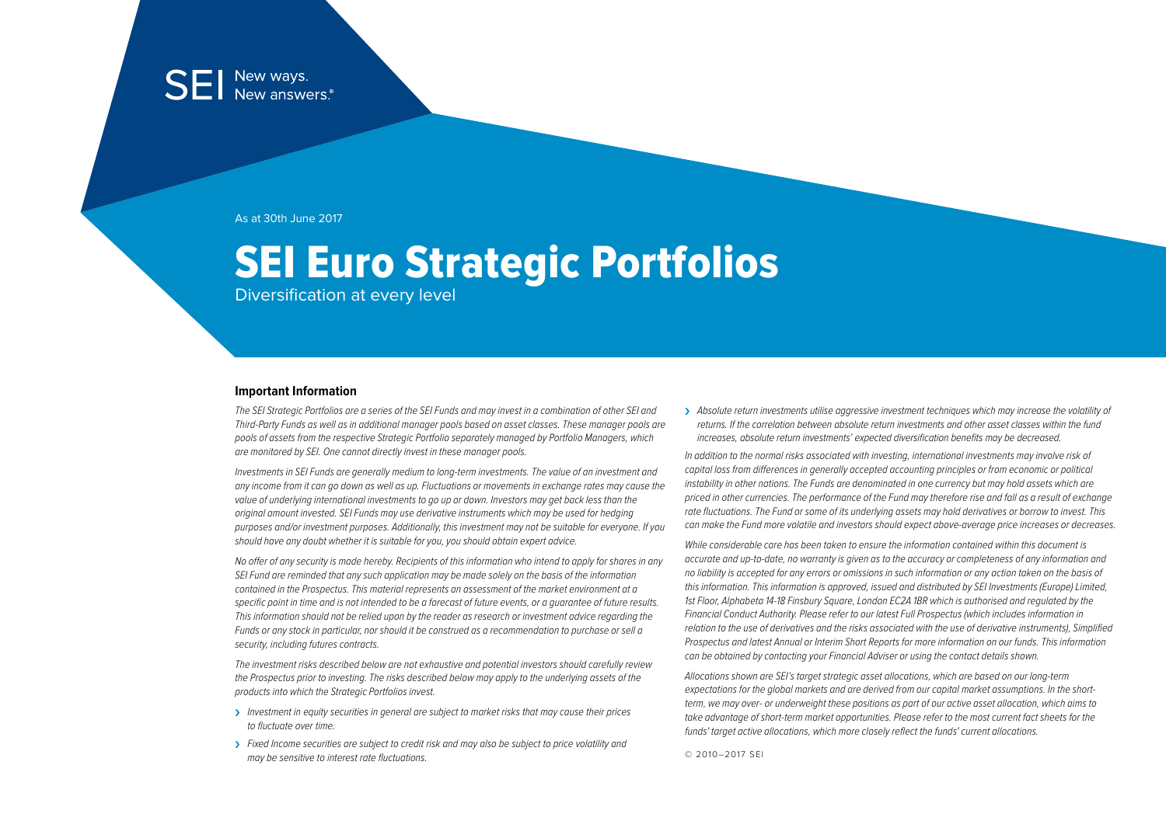As at 30th June 2017

# SEI Euro Strategic Portfolios

Diversification at every level

#### **Important Information**

The SEI Strategic Portfolios are a series of the SEI Funds and may invest in a combination of other SEI and Third-Party Funds as well as in additional manager pools based on asset classes. These manager pools are pools of assets from the respective Strategic Portfolio separately managed by Portfolio Managers, which are monitored by SEI. One cannot directly invest in these manager pools.

Investments in SEI Funds are generally medium to long-term investments. The value of an investment and any income from it can go down as well as up. Fluctuations or movements in exchange rates may cause the value of underlying international investments to go up or down. Investors may get back less than the original amount invested. SEI Funds may use derivative instruments which may be used for hedging purposes and/or investment purposes. Additionally, this investment may not be suitable for everyone. If you should have any doubt whether it is suitable for you, you should obtain expert advice.

No offer of any security is made hereby. Recipients of this information who intend to apply for shares in any SEI Fund are reminded that any such application may be made solely on the basis of the information contained in the Prospectus. This material represents an assessment of the market environment at a specific point in time and is not intended to be a forecast of future events, or a guarantee of future results. This information should not be relied upon by the reader as research or investment advice regarding the Funds or any stock in particular, nor should it be construed as a recommendation to purchase or sell a security, including futures contracts.

The investment risks described below are not exhaustive and potential investors should carefully review the Prospectus prior to investing. The risks described below may apply to the underlying assets of the products into which the Strategic Portfolios invest.

- > Investment in equity securities in general are subject to market risks that may cause their prices to fluctuate over time.
- > Fixed Income securities are subject to credit risk and may also be subject to price volatility and may be sensitive to interest rate fluctuations.

> Absolute return investments utilise aggressive investment techniques which may increase the volatility of returns. If the correlation between absolute return investments and other asset classes within the fund increases, absolute return investments' expected diversification benefits may be decreased.

In addition to the normal risks associated with investing, international investments may involve risk of capital loss from differences in generally accepted accounting principles or from economic or political instability in other nations. The Funds are denominated in one currency but may hold assets which are priced in other currencies. The performance of the Fund may therefore rise and fall as a result of exchange rate fluctuations. The Fund or some of its underlying assets may hold derivatives or borrow to invest. This can make the Fund more volatile and investors should expect above-average price increases or decreases.

While considerable care has been taken to ensure the information contained within this document is accurate and up-to-date, no warranty is given as to the accuracy or completeness of any information and no liability is accepted for any errors or omissions in such information or any action taken on the basis of this information. This information is approved, issued and distributed by SEI Investments (Europe) Limited, 1st Floor, Alphabeta 14-18 Finsbury Saugre, London EC2A 1BR which is authorised and regulated by the Financial Conduct Authority. Please refer to our latest Full Prospectus (which includes information in relation to the use of derivatives and the risks associated with the use of derivative instruments), Simplified Prospectus and latest Annual or Interim Short Reports for more information on our funds. This information can be obtained by contacting your Financial Adviser or using the contact details shown.

Allocations shown are SEI's target strategic asset allocations, which are based on our long-term expectations for the global markets and are derived from our capital market assumptions. In the shortterm, we may over- or underweight these positions as part of our active asset allocation, which aims to take advantage of short-term market opportunities. Please refer to the most current fact sheets for the funds' target active allocations, which more closely reflect the funds' current allocations.

© 2010–2017 SEI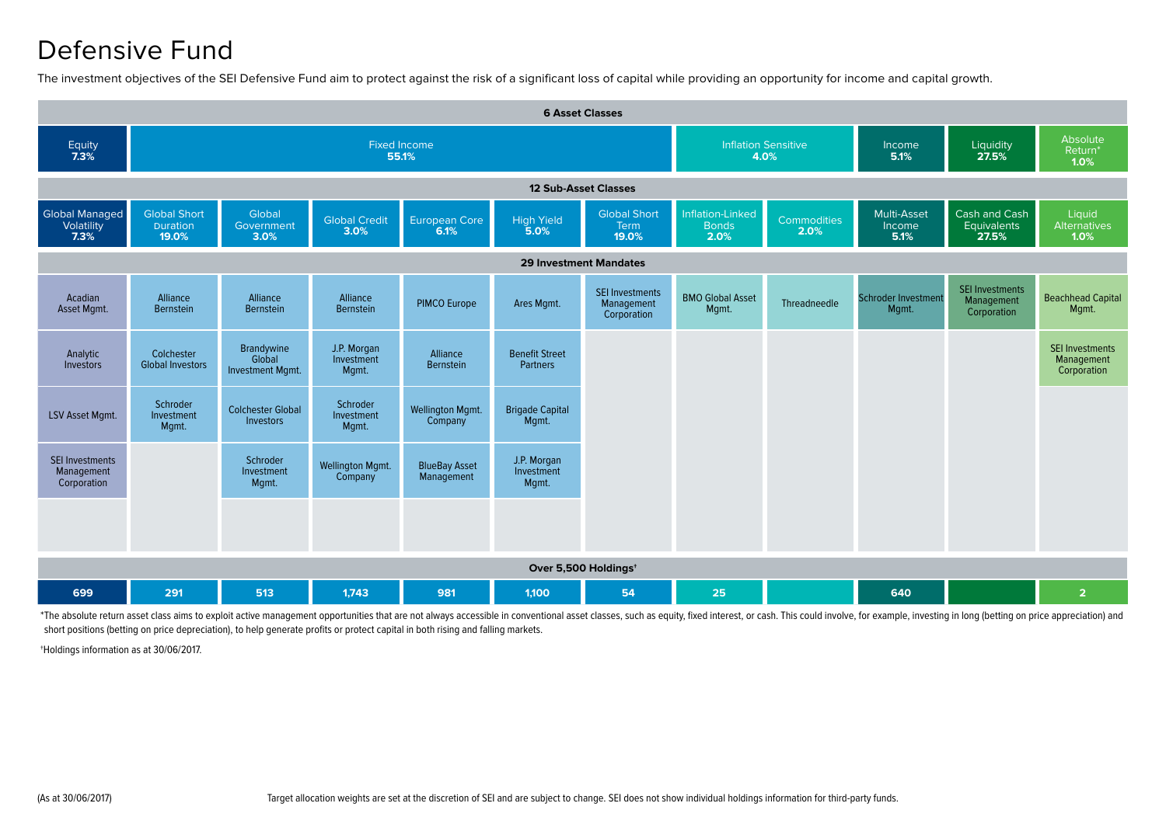### Defensive Fund

The investment objectives of the SEI Defensive Fund aim to protect against the risk of a significant loss of capital while providing an opportunity for income and capital growth.



\*The absolute return asset class aims to exploit active management opportunities that are not always accessible in conventional asset classes, such as equity, fixed interest, or cash. This could involve, for example, inves short positions (betting on price depreciation), to help generate profits or protect capital in both rising and falling markets.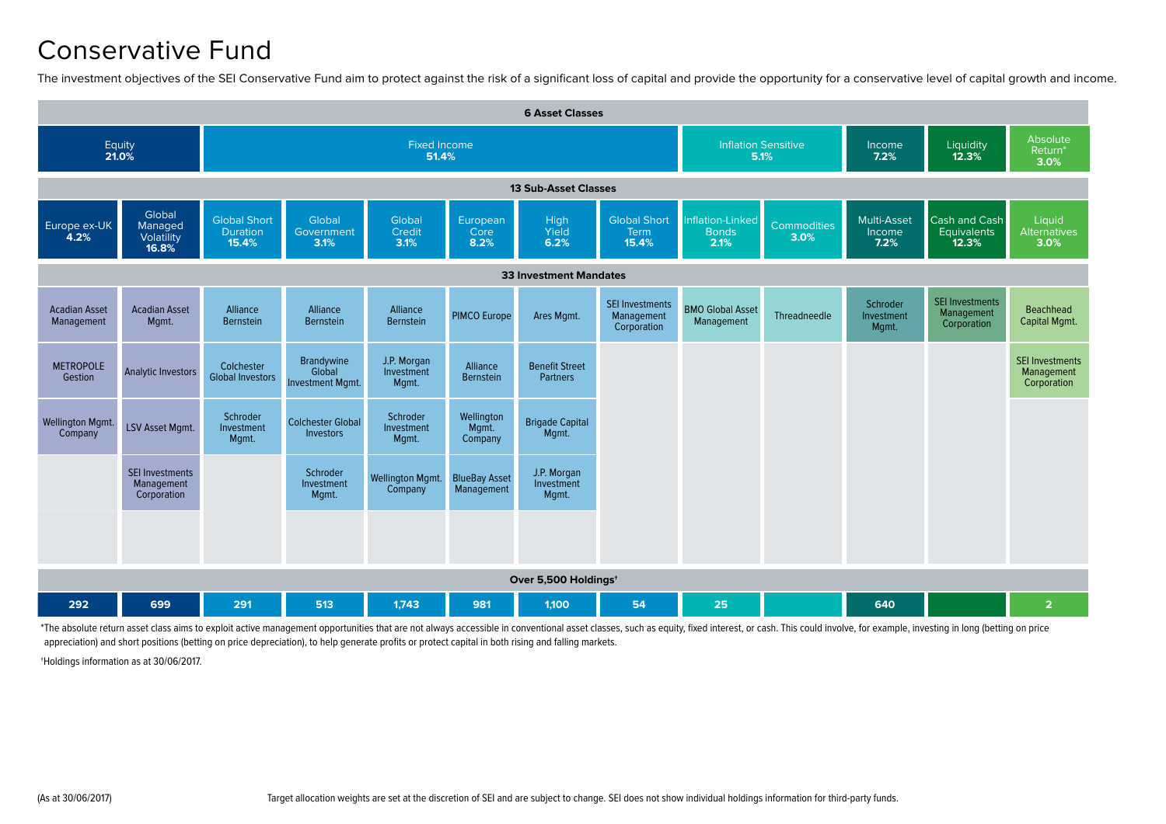#### Conservative Fund

The investment objectives of the SEI Conservative Fund aim to protect against the risk of a significant loss of capital and provide the opportunity for a conservative level of capital growth and income.

| <b>6 Asset Classes</b>             |                                                     |                                                        |                                                        |                                    |                                    |                                    |                                                     |                                          |                            |                                 |                                                     |                                                     |  |  |
|------------------------------------|-----------------------------------------------------|--------------------------------------------------------|--------------------------------------------------------|------------------------------------|------------------------------------|------------------------------------|-----------------------------------------------------|------------------------------------------|----------------------------|---------------------------------|-----------------------------------------------------|-----------------------------------------------------|--|--|
|                                    | Equity<br>21.0%                                     |                                                        |                                                        | Fixed Income<br>51.4%              |                                    |                                    | <b>Inflation Sensitive</b><br>5.1%                  |                                          | Income<br>7.2%             | Liquidity<br>12.3%              | Absolute<br>Return <sup>*</sup><br>3.0%             |                                                     |  |  |
| <b>13 Sub-Asset Classes</b>        |                                                     |                                                        |                                                        |                                    |                                    |                                    |                                                     |                                          |                            |                                 |                                                     |                                                     |  |  |
| Europe ex-UK<br>4.2%               | Global<br>Managed<br>Volatility<br>16.8%            | <b>Global Short</b><br><b>Duration</b><br>15.4%        | Global<br>Government<br>3.1%                           | Global<br>Credit<br>3.1%           | European<br>Core<br>8.2%           | <b>High</b><br>Yield<br>6.2%       | <b>Global Short</b><br>Term<br>15.4%                | Inflation-Linked<br><b>Bonds</b><br>2.1% | <b>Commodities</b><br>3.0% | Multi-Asset<br>Income<br>7.2%   | Cash and Cash<br>Equivalents<br>12.3%               | Liquid<br><b>Alternatives</b><br>3.0%               |  |  |
| <b>33 Investment Mandates</b>      |                                                     |                                                        |                                                        |                                    |                                    |                                    |                                                     |                                          |                            |                                 |                                                     |                                                     |  |  |
| <b>Acadian Asset</b><br>Management | <b>Acadian Asset</b><br>Mgmt.                       | Alliance<br>Bernstein                                  | Alliance<br>Bernstein                                  | Alliance<br>Bernstein              | <b>PIMCO Europe</b>                | Ares Mgmt.                         | <b>SEI Investments</b><br>Management<br>Corporation | <b>BMO Global Asset</b><br>Management    | Threadneedle               | Schroder<br>Investment<br>Mgmt. | <b>SEI Investments</b><br>Management<br>Corporation | Beachhead<br>Capital Mgmt.                          |  |  |
| <b>METROPOLE</b><br>Gestion        | <b>Analytic Investors</b>                           | Colchester<br><b>Global Investors</b>                  | <b>Brandywine</b><br>Global<br><b>Investment Mamt.</b> | J.P. Morgan<br>Investment<br>Mgmt. | Alliance<br>Bernstein              | <b>Benefit Street</b><br>Partners  |                                                     |                                          |                            |                                 |                                                     | <b>SEI Investments</b><br>Management<br>Corporation |  |  |
| <b>Wellington Mgmt.</b><br>Company | <b>LSV Asset Mgmt.</b>                              | Schroder<br>Investment<br>Mqmt.                        | <b>Colchester Global</b><br>Investors                  | Schroder<br>Investment<br>Mgmt.    | Wellington<br>Mgmt.<br>Company     | <b>Brigade Capital</b><br>Mgmt.    |                                                     |                                          |                            |                                 |                                                     |                                                     |  |  |
|                                    | <b>SEI Investments</b><br>Management<br>Corporation |                                                        | Schroder<br>Investment<br>Mqmt.                        | <b>Wellington Mgmt.</b><br>Company | <b>BlueBay Asset</b><br>Management | J.P. Morgan<br>Investment<br>Mgmt. |                                                     |                                          |                            |                                 |                                                     |                                                     |  |  |
|                                    |                                                     |                                                        |                                                        |                                    |                                    |                                    |                                                     |                                          |                            |                                 |                                                     |                                                     |  |  |
|                                    | Over 5,500 Holdings <sup>+</sup>                    |                                                        |                                                        |                                    |                                    |                                    |                                                     |                                          |                            |                                 |                                                     |                                                     |  |  |
| 292                                | 699                                                 | 513<br>1.743<br>25<br>640<br>291<br>981<br>1.100<br>54 |                                                        |                                    |                                    |                                    |                                                     |                                          |                            |                                 |                                                     | $\overline{2}$                                      |  |  |

\*The absolute return asset class aims to exploit active management opportunities that are not always accessible in conventional asset classes, such as equity, fixed interest, or cash. This could involve, for example, inves appreciation) and short positions (betting on price depreciation), to help generate profits or protect capital in both rising and falling markets.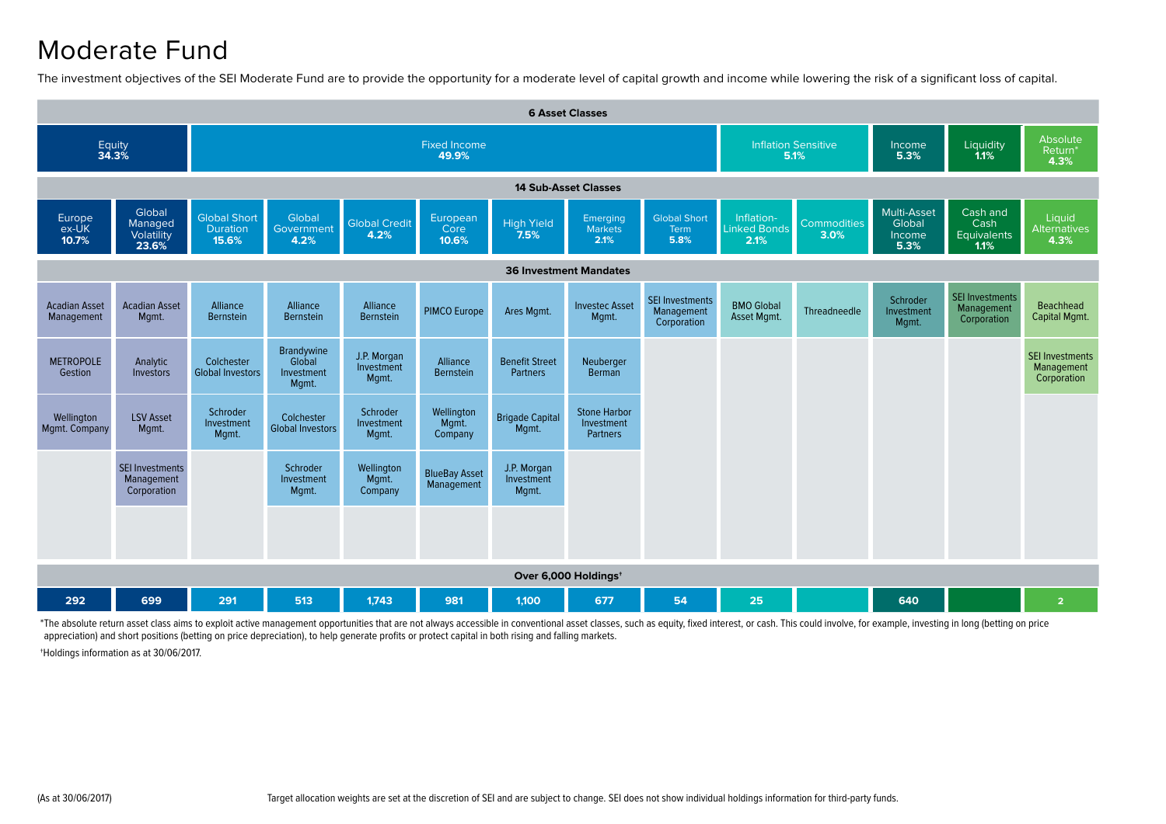#### Moderate Fund

The investment objectives of the SEI Moderate Fund are to provide the opportunity for a moderate level of capital growth and income while lowering the risk of a significant loss of capital.

| <b>6 Asset Classes</b>             |                                                     |                                                 |                                             |                                    |                                    |                                          |                                                      |                                                     |                                           |                                         |                                         |                                                     |                                                     |  |
|------------------------------------|-----------------------------------------------------|-------------------------------------------------|---------------------------------------------|------------------------------------|------------------------------------|------------------------------------------|------------------------------------------------------|-----------------------------------------------------|-------------------------------------------|-----------------------------------------|-----------------------------------------|-----------------------------------------------------|-----------------------------------------------------|--|
| Equity<br>34.3%                    |                                                     |                                                 |                                             |                                    | <b>Fixed Income</b><br>49.9%       | <b>Inflation Sensitive</b><br>5.1%       |                                                      | Income<br>5.3%                                      | Liquidity<br>1.1%                         | Absolute<br>Return <sup>*</sup><br>4.3% |                                         |                                                     |                                                     |  |
| <b>14 Sub-Asset Classes</b>        |                                                     |                                                 |                                             |                                    |                                    |                                          |                                                      |                                                     |                                           |                                         |                                         |                                                     |                                                     |  |
| Europe<br>ex-UK<br>10.7%           | Global<br>Managed<br>Volatility<br>23.6%            | <b>Global Short</b><br><b>Duration</b><br>15.6% | Global<br>Government<br>4.2%                | <b>Global Credit</b><br>4.2%       | European<br>Core<br>10.6%          | <b>High Yield</b><br>7.5%                | Emerging<br><b>Markets</b><br>2.1%                   | <b>Global Short</b><br>Term<br>5.8%                 | Inflation-<br><b>Linked Bonds</b><br>2.1% | <b>Commodities</b><br>3.0%              | Multi-Asset<br>Global<br>Income<br>5.3% | Cash and<br>Cash<br>Equivalents<br>1.1%             | Liquid<br><b>Alternatives</b><br>4.3%               |  |
| <b>36 Investment Mandates</b>      |                                                     |                                                 |                                             |                                    |                                    |                                          |                                                      |                                                     |                                           |                                         |                                         |                                                     |                                                     |  |
| <b>Acadian Asset</b><br>Management | <b>Acadian Asset</b><br>Mgmt.                       | Alliance<br><b>Bernstein</b>                    | Alliance<br>Bernstein                       | Alliance<br>Bernstein              | <b>PIMCO Europe</b>                | Ares Mgmt.                               | <b>Investec Asset</b><br>Mqmt.                       | <b>SEI Investments</b><br>Management<br>Corporation | <b>BMO Global</b><br>Asset Mgmt.          | Threadneedle                            | Schroder<br>Investment<br>Mgmt.         | <b>SEI Investments</b><br>Management<br>Corporation | Beachhead<br>Capital Mgmt.                          |  |
| <b>METROPOLE</b><br>Gestion        | Analytic<br>Investors                               | Colchester<br><b>Global Investors</b>           | Brandywine<br>Global<br>Investment<br>Mgmt. | J.P. Morgan<br>Investment<br>Mgmt. | Alliance<br>Bernstein              | <b>Benefit Street</b><br><b>Partners</b> | Neuberger<br>Berman                                  |                                                     |                                           |                                         |                                         |                                                     | <b>SEI Investments</b><br>Management<br>Corporation |  |
| Wellington<br>Mgmt. Company        | <b>LSV Asset</b><br>Mgmt.                           | Schroder<br>Investment<br>Mgmt.                 | Colchester<br><b>Global Investors</b>       | Schroder<br>Investment<br>Mgmt.    | Wellington<br>Mgmt.<br>Company     | <b>Brigade Capital</b><br>Mgmt.          | <b>Stone Harbor</b><br>Investment<br><b>Partners</b> |                                                     |                                           |                                         |                                         |                                                     |                                                     |  |
|                                    | <b>SEI Investments</b><br>Management<br>Corporation |                                                 | Schroder<br>Investment<br>Mgmt.             | Wellington<br>Mgmt.<br>Company     | <b>BlueBay Asset</b><br>Management | J.P. Morgan<br>Investment<br>Mgmt.       |                                                      |                                                     |                                           |                                         |                                         |                                                     |                                                     |  |
|                                    |                                                     |                                                 |                                             |                                    |                                    |                                          |                                                      |                                                     |                                           |                                         |                                         |                                                     |                                                     |  |
|                                    | Over 6,000 Holdings <sup>+</sup>                    |                                                 |                                             |                                    |                                    |                                          |                                                      |                                                     |                                           |                                         |                                         |                                                     |                                                     |  |
| 292                                | 699                                                 | 291                                             | 513                                         | 1.743                              | 981                                | 1.100                                    | 677                                                  | 54                                                  | 25                                        |                                         | 640                                     |                                                     | $\overline{2}$                                      |  |

\*The absolute return asset class aims to exploit active management opportunities that are not always accessible in conventional asset classes, such as equity, fixed interest, or cash. This could involve, for example, inves appreciation) and short positions (betting on price depreciation), to help generate profits or protect capital in both rising and falling markets.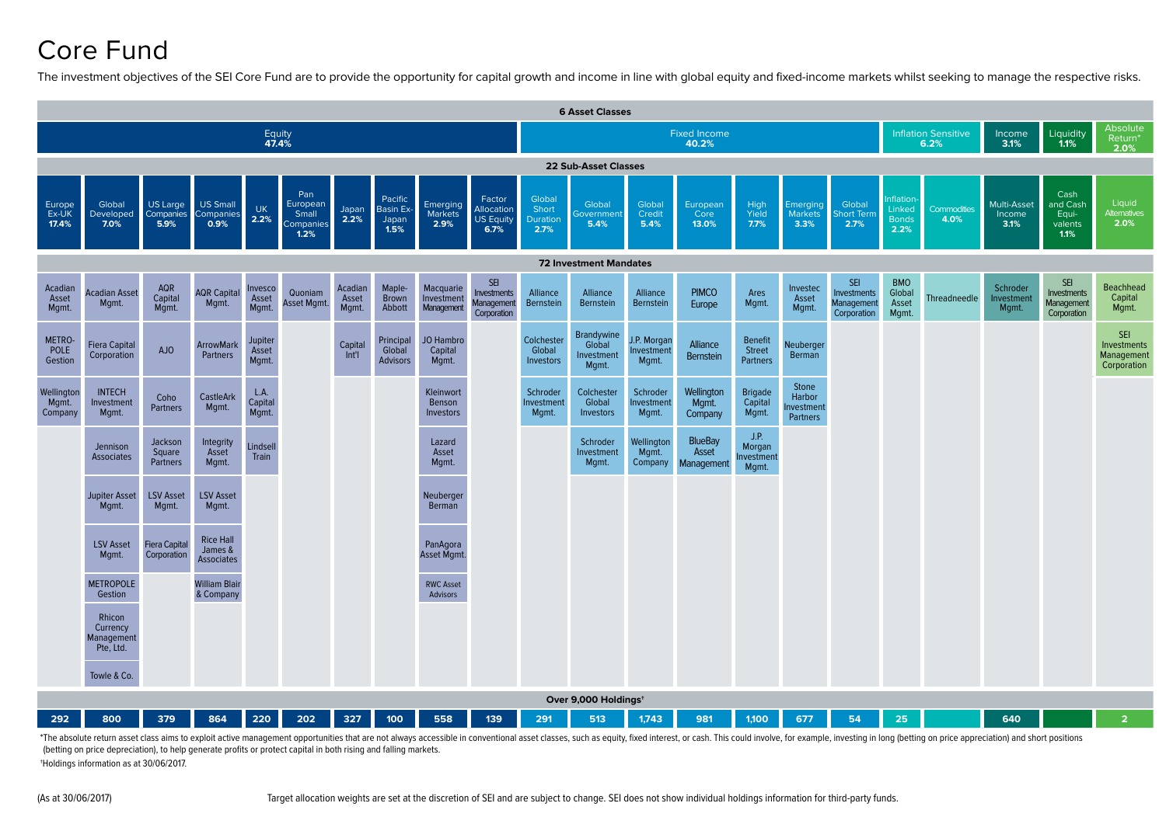# Core Fund

The investment objectives of the SEI Core Fund are to provide the opportunity for capital growth and income in line with global equity and fixed-income markets whilst seeking to manage the respective risks.



\*The absolute return asset class aims to exploit active management opportunities that are not always accessible in conventional asset classes, such as equity, fixed interest, or cash. This could involve, for example, inves (betting on price depreciation), to help generate profits or protect capital in both rising and falling markets. †Holdings information as at 30/06/2017.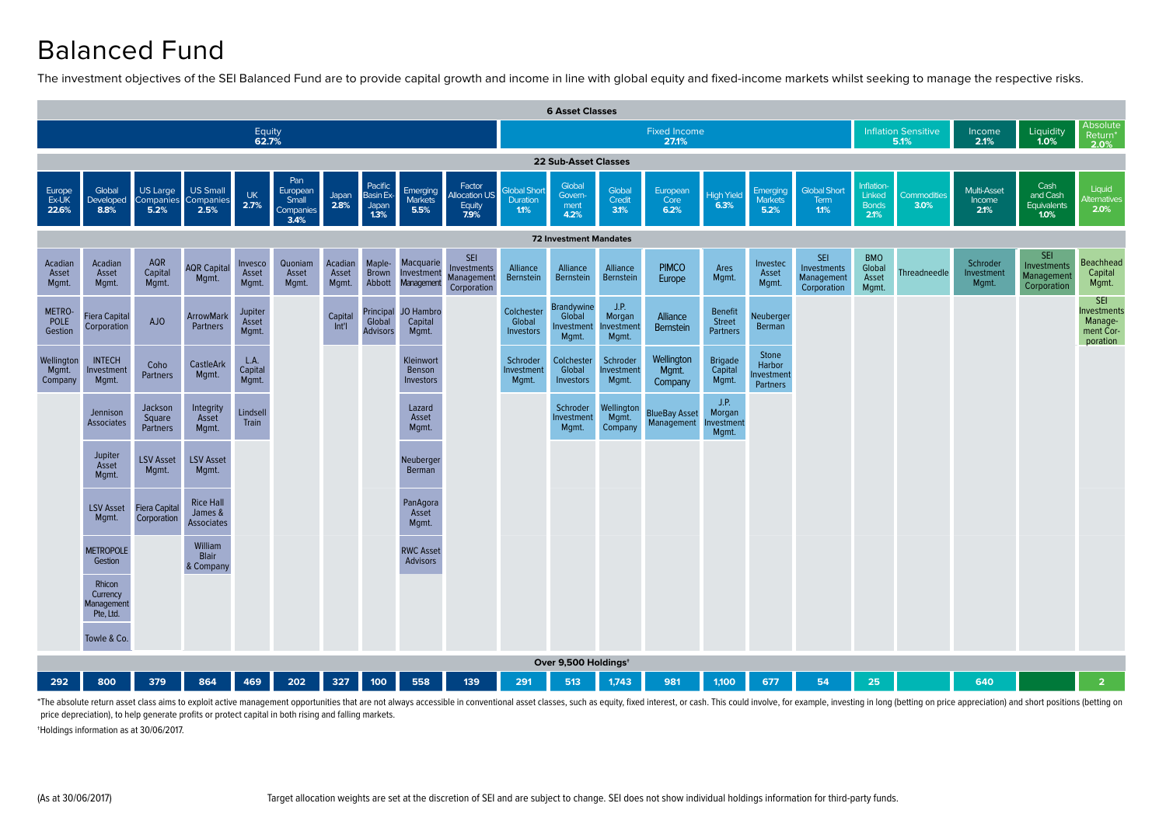# Balanced Fund

The investment objectives of the SEI Balanced Fund are to provide capital growth and income in line with global equity and fixed-income markets whilst seeking to manage the respective risks.



\*The absolute return asset class aims to exploit active management opportunities that are not always accessible in conventional asset classes, such as equity, fixed interest, or cash. This could involve, for example, inves price depreciation), to help generate profits or protect capital in both rising and falling markets.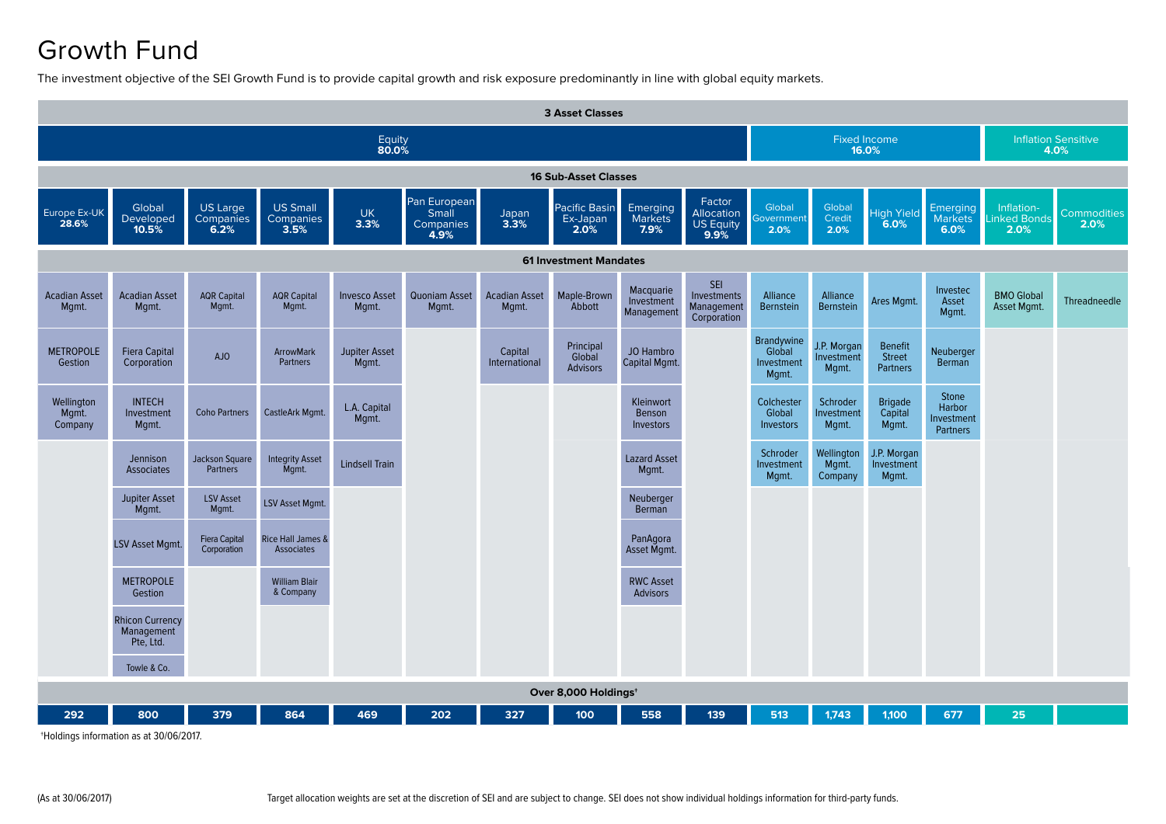# Growth Fund

The investment objective of the SEI Growth Fund is to provide capital growth and risk exposure predominantly in line with global equity markets.

| <b>3 Asset Classes</b>         |                                                   |                                     |                                                   |                               |                                            |                               |                                        |                                                |                                                         |                                             |                                    |                                             |                                                  |                                   |                            |
|--------------------------------|---------------------------------------------------|-------------------------------------|---------------------------------------------------|-------------------------------|--------------------------------------------|-------------------------------|----------------------------------------|------------------------------------------------|---------------------------------------------------------|---------------------------------------------|------------------------------------|---------------------------------------------|--------------------------------------------------|-----------------------------------|----------------------------|
| Equity<br>80.0%                |                                                   |                                     |                                                   |                               |                                            |                               |                                        |                                                |                                                         |                                             | <b>Fixed Income</b><br>16.0%       | <b>Inflation Sensitive</b><br>4.0%          |                                                  |                                   |                            |
| <b>16 Sub-Asset Classes</b>    |                                                   |                                     |                                                   |                               |                                            |                               |                                        |                                                |                                                         |                                             |                                    |                                             |                                                  |                                   |                            |
| Europe Ex-UK<br>28.6%          | Global<br>Developed<br>10.5%                      | US Large<br>Companies<br>6.2%       | <b>US Small</b><br>Companies<br>3.5%              | <b>UK</b><br>3.3%             | Pan European<br>Small<br>Companies<br>4.9% | Japan<br>3.3%                 | Pacific Basin<br>Ex-Japan<br>2.0%      | Emerging<br><b>Markets</b><br>7.9%             | Factor<br><b>Allocation</b><br><b>US Equity</b><br>9.9% | Global<br><b>Sovernment</b><br>2.0%         | Global<br>Credit<br>2.0%           | <b>High Yield</b><br>6.0%                   | Emerging<br><b>Markets</b><br>6.0%               | Inflation-<br>inked Bonds<br>2.0% | <b>Commodities</b><br>2.0% |
| <b>61 Investment Mandates</b>  |                                                   |                                     |                                                   |                               |                                            |                               |                                        |                                                |                                                         |                                             |                                    |                                             |                                                  |                                   |                            |
| <b>Acadian Asset</b><br>Mgmt.  | <b>Acadian Asset</b><br>Mgmt.                     | <b>AQR Capital</b><br>Mgmt.         | <b>AQR Capital</b><br>Mgmt.                       | <b>Invesco Asset</b><br>Mgmt. | Quoniam Asset<br>Mgmt.                     | <b>Acadian Asset</b><br>Mgmt. | Maple-Brown<br>Abbott                  | Macquarie<br>Investment<br>Management          | <b>SEI</b><br>Investments<br>Management<br>Corporation  | Alliance<br>Bernstein                       | Alliance<br><b>Bernstein</b>       | Ares Mgmt.                                  | Investec<br>Asset<br>Mgmt.                       | <b>BMO Global</b><br>Asset Mgmt.  | Threadneedle               |
| <b>METROPOLE</b><br>Gestion    | <b>Fiera Capital</b><br>Corporation               | AJO                                 | <b>ArrowMark</b><br><b>Partners</b>               | <b>Jupiter Asset</b><br>Mgmt. |                                            | Capital<br>International      | Principal<br>Global<br><b>Advisors</b> | <b>JO Hambro</b><br>Capital Mgmt.              |                                                         | Brandywine<br>Global<br>Investment<br>Mgmt. | J.P. Morgan<br>Investment<br>Mgmt. | <b>Benefit</b><br>Street<br><b>Partners</b> | Neuberger<br>Berman                              |                                   |                            |
| Wellington<br>Mgmt.<br>Company | <b>INTECH</b><br>Investment<br>Mgmt.              | <b>Coho Partners</b>                | CastleArk Mgmt.                                   | L.A. Capital<br>Mgmt.         |                                            |                               |                                        | <b>Kleinwort</b><br>Benson<br><b>Investors</b> |                                                         | Colchester<br>Global<br>Investors           | Schroder<br>Investment<br>Mgmt.    | <b>Brigade</b><br>Capital<br>Mgmt.          | Stone<br>Harbor<br>Investment<br><b>Partners</b> |                                   |                            |
|                                | Jennison<br>Associates                            | Jackson Square<br><b>Partners</b>   | <b>Integrity Asset</b><br>Mqmt.                   | <b>Lindsell Train</b>         |                                            |                               |                                        | <b>Lazard Asset</b><br>Mqmt.                   |                                                         | Schroder<br>Investment<br>Mgmt.             | Wellington<br>Mgmt.<br>Company     | J.P. Morgan<br>Investment<br>Mgmt.          |                                                  |                                   |                            |
|                                | <b>Jupiter Asset</b><br>Mgmt.                     | <b>LSV Asset</b><br>Mgmt.           | LSV Asset Mgmt.                                   |                               |                                            |                               |                                        | Neuberger<br>Berman                            |                                                         |                                             |                                    |                                             |                                                  |                                   |                            |
|                                | LSV Asset Mgmt.                                   | <b>Fiera Capital</b><br>Corporation | <b>Rice Hall James &amp;</b><br><b>Associates</b> |                               |                                            |                               |                                        | PanAgora<br>Asset Mgmt.                        |                                                         |                                             |                                    |                                             |                                                  |                                   |                            |
|                                | <b>METROPOLE</b><br>Gestion                       |                                     | <b>William Blair</b><br>& Company                 |                               |                                            |                               |                                        | <b>RWC Asset</b><br><b>Advisors</b>            |                                                         |                                             |                                    |                                             |                                                  |                                   |                            |
|                                | <b>Rhicon Currency</b><br>Management<br>Pte, Ltd. |                                     |                                                   |                               |                                            |                               |                                        |                                                |                                                         |                                             |                                    |                                             |                                                  |                                   |                            |
|                                | Towle & Co.                                       |                                     |                                                   |                               |                                            |                               |                                        |                                                |                                                         |                                             |                                    |                                             |                                                  |                                   |                            |
|                                |                                                   |                                     |                                                   |                               |                                            |                               | Over 8,000 Holdings <sup>+</sup>       |                                                |                                                         |                                             |                                    |                                             |                                                  |                                   |                            |
| 292                            | 800                                               | 379                                 | 864                                               | 469                           | 202                                        | 327                           | 100                                    | 558                                            | 139                                                     | 513                                         | 1,743                              | 1,100                                       | 677                                              | 25                                |                            |